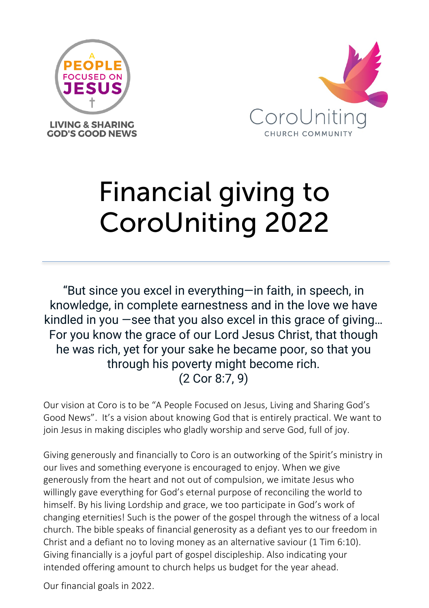



# Financial giving to CoroUniting 2022

"But since you excel in everything—in faith, in speech, in knowledge, in complete earnestness and in the love we have kindled in you —see that you also excel in this grace of giving… For you know the grace of our Lord Jesus Christ, that though he was rich, yet for your sake he became poor, so that you through his poverty might become rich. (2 Cor 8:7, 9)

Our vision at Coro is to be "A People Focused on Jesus, Living and Sharing God's Good News". It's a vision about knowing God that is entirely practical. We want to join Jesus in making disciples who gladly worship and serve God, full of joy.

Giving generously and financially to Coro is an outworking of the Spirit's ministry in our lives and something everyone is encouraged to enjoy. When we give generously from the heart and not out of compulsion, we imitate Jesus who willingly gave everything for God's eternal purpose of reconciling the world to himself. By his living Lordship and grace, we too participate in God's work of changing eternities! Such is the power of the gospel through the witness of a local church. The bible speaks of financial generosity as a defiant yes to our freedom in Christ and a defiant no to loving money as an alternative saviour (1 Tim 6:10). Giving financially is a joyful part of gospel discipleship. Also indicating your intended offering amount to church helps us budget for the year ahead.

Our financial goals in 2022.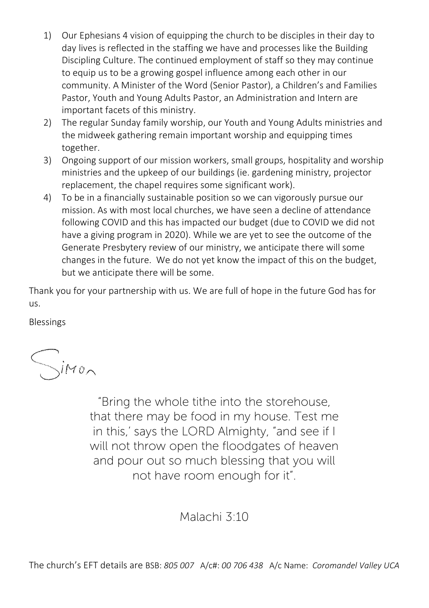- 1) Our Ephesians 4 vision of equipping the church to be disciples in their day to day lives is reflected in the staffing we have and processes like the Building Discipling Culture. The continued employment of staff so they may continue to equip us to be a growing gospel influence among each other in our community. A Minister of the Word (Senior Pastor), a Children's and Families Pastor, Youth and Young Adults Pastor, an Administration and Intern are important facets of this ministry.
- 2) The regular Sunday family worship, our Youth and Young Adults ministries and the midweek gathering remain important worship and equipping times together.
- 3) Ongoing support of our mission workers, small groups, hospitality and worship ministries and the upkeep of our buildings (ie. gardening ministry, projector replacement, the chapel requires some significant work).
- 4) To be in a financially sustainable position so we can vigorously pursue our mission. As with most local churches, we have seen a decline of attendance following COVID and this has impacted our budget (due to COVID we did not have a giving program in 2020). While we are yet to see the outcome of the Generate Presbytery review of our ministry, we anticipate there will some changes in the future. We do not yet know the impact of this on the budget, but we anticipate there will be some.

Thank you for your partnership with us. We are full of hope in the future God has for us.

Blessings

 $\sum$ imon

"Bring the whole tithe into the storehouse, that there may be food in my house. Test me in this,' says the LORD Almighty, "and see if I will not throw open the floodgates of heaven and pour out so much blessing that you will not have room enough for it".

Malachi 3:10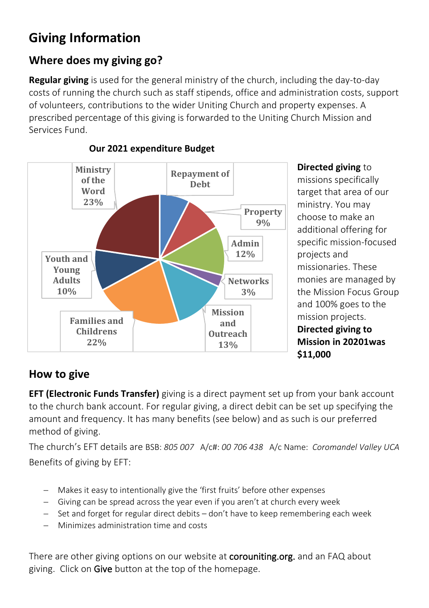# **Giving Information**

## **Where does my giving go?**

**Regular giving** is used for the general ministry of the church, including the day-to-day costs of running the church such as staff stipends, office and administration costs, support of volunteers, contributions to the wider Uniting Church and property expenses. A prescribed percentage of this giving is forwarded to the Uniting Church Mission and Services Fund.



#### **Our 2021 expenditure Budget**

**Directed giving** to missions specifically target that area of our ministry. You may choose to make an additional offering for specific mission-focused projects and missionaries. These monies are managed by the Mission Focus Group and 100% goes to the mission projects. **Directed giving to Mission in 20201was \$11,000**

### **How to give**

**EFT (Electronic Funds Transfer)** giving is a direct payment set up from your bank account to the church bank account. For regular giving, a direct debit can be set up specifying the amount and frequency. It has many benefits (see below) and as such is our preferred method of giving.

The church's EFT details are BSB: *805 007* A/c#: *00 706 438* A/c Name: *Coromandel Valley UCA* Benefits of giving by EFT:

- − Makes it easy to intentionally give the 'first fruits' before other expenses
- − Giving can be spread across the year even if you aren't at church every week
- − Set and forget for regular direct debits don't have to keep remembering each week
- − Minimizes administration time and costs

There are other giving options on our website at **corouniting.org.** and an FAQ about giving. Click on Give button at the top of the homepage.